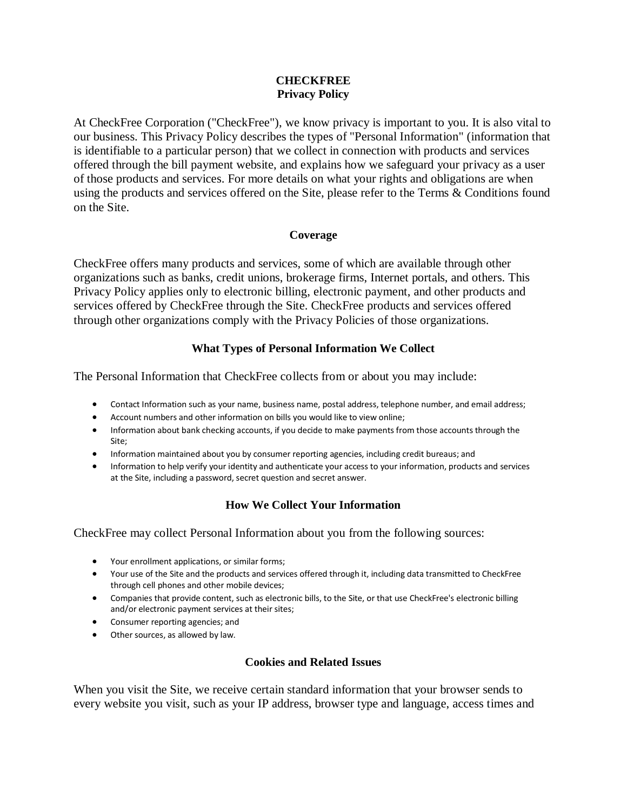### **CHECKFREE Privacy Policy**

At CheckFree Corporation ("CheckFree"), we know privacy is important to you. It is also vital to our business. This Privacy Policy describes the types of "Personal Information" (information that is identifiable to a particular person) that we collect in connection with products and services offered through the bill payment website, and explains how we safeguard your privacy as a user of those products and services. For more details on what your rights and obligations are when using the products and services offered on the Site, please refer to the Terms & Conditions found on the Site.

### **Coverage**

CheckFree offers many products and services, some of which are available through other organizations such as banks, credit unions, brokerage firms, Internet portals, and others. This Privacy Policy applies only to electronic billing, electronic payment, and other products and services offered by CheckFree through the Site. CheckFree products and services offered through other organizations comply with the Privacy Policies of those organizations.

# **What Types of Personal Information We Collect**

The Personal Information that CheckFree collects from or about you may include:

- Contact Information such as your name, business name, postal address, telephone number, and email address;
- Account numbers and other information on bills you would like to view online;
- Information about bank checking accounts, if you decide to make payments from those accounts through the Site;
- Information maintained about you by consumer reporting agencies, including credit bureaus; and
- Information to help verify your identity and authenticate your access to your information, products and services at the Site, including a password, secret question and secret answer.

# **How We Collect Your Information**

CheckFree may collect Personal Information about you from the following sources:

- Your enrollment applications, or similar forms;
- Your use of the Site and the products and services offered through it, including data transmitted to CheckFree through cell phones and other mobile devices;
- Companies that provide content, such as electronic bills, to the Site, or that use CheckFree's electronic billing and/or electronic payment services at their sites;
- Consumer reporting agencies; and
- Other sources, as allowed by law.

# **Cookies and Related Issues**

When you visit the Site, we receive certain standard information that your browser sends to every website you visit, such as your IP address, browser type and language, access times and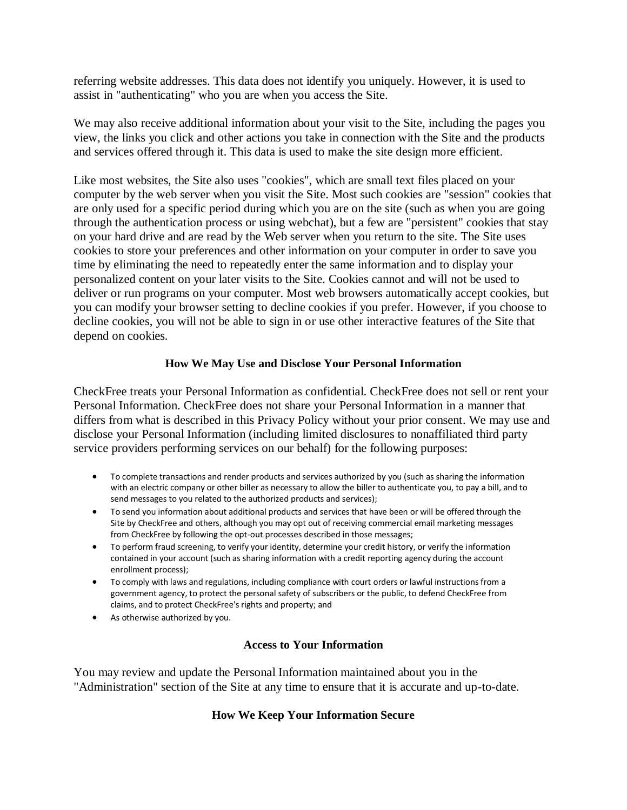referring website addresses. This data does not identify you uniquely. However, it is used to assist in "authenticating" who you are when you access the Site.

We may also receive additional information about your visit to the Site, including the pages you view, the links you click and other actions you take in connection with the Site and the products and services offered through it. This data is used to make the site design more efficient.

Like most websites, the Site also uses "cookies", which are small text files placed on your computer by the web server when you visit the Site. Most such cookies are "session" cookies that are only used for a specific period during which you are on the site (such as when you are going through the authentication process or using webchat), but a few are "persistent" cookies that stay on your hard drive and are read by the Web server when you return to the site. The Site uses cookies to store your preferences and other information on your computer in order to save you time by eliminating the need to repeatedly enter the same information and to display your personalized content on your later visits to the Site. Cookies cannot and will not be used to deliver or run programs on your computer. Most web browsers automatically accept cookies, but you can modify your browser setting to decline cookies if you prefer. However, if you choose to decline cookies, you will not be able to sign in or use other interactive features of the Site that depend on cookies.

### **How We May Use and Disclose Your Personal Information**

CheckFree treats your Personal Information as confidential. CheckFree does not sell or rent your Personal Information. CheckFree does not share your Personal Information in a manner that differs from what is described in this Privacy Policy without your prior consent. We may use and disclose your Personal Information (including limited disclosures to nonaffiliated third party service providers performing services on our behalf) for the following purposes:

- To complete transactions and render products and services authorized by you (such as sharing the information with an electric company or other biller as necessary to allow the biller to authenticate you, to pay a bill, and to send messages to you related to the authorized products and services);
- To send you information about additional products and services that have been or will be offered through the Site by CheckFree and others, although you may opt out of receiving commercial email marketing messages from CheckFree by following the opt-out processes described in those messages;
- To perform fraud screening, to verify your identity, determine your credit history, or verify the information contained in your account (such as sharing information with a credit reporting agency during the account enrollment process);
- To comply with laws and regulations, including compliance with court orders or lawful instructions from a government agency, to protect the personal safety of subscribers or the public, to defend CheckFree from claims, and to protect CheckFree's rights and property; and
- As otherwise authorized by you.

#### **Access to Your Information**

You may review and update the Personal Information maintained about you in the "Administration" section of the Site at any time to ensure that it is accurate and up-to-date.

# **How We Keep Your Information Secure**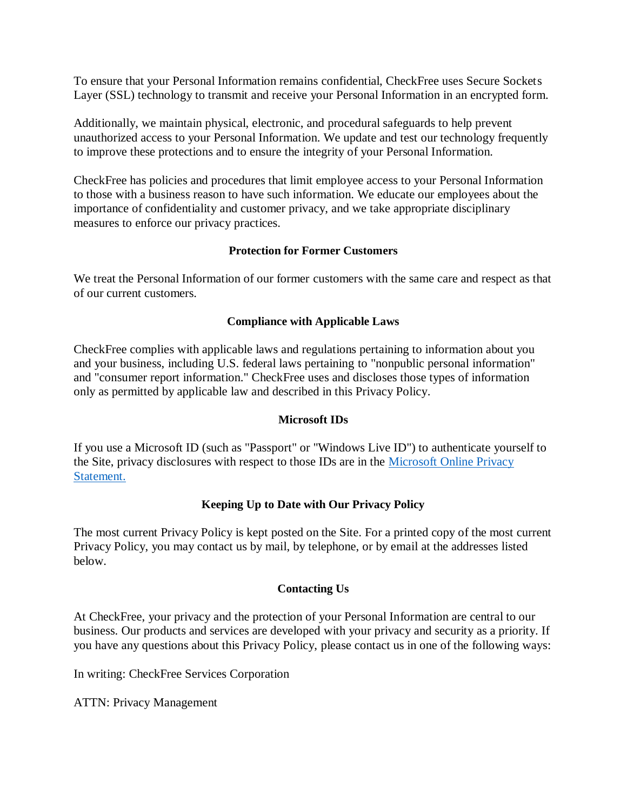To ensure that your Personal Information remains confidential, CheckFree uses Secure Sockets Layer (SSL) technology to transmit and receive your Personal Information in an encrypted form.

Additionally, we maintain physical, electronic, and procedural safeguards to help prevent unauthorized access to your Personal Information. We update and test our technology frequently to improve these protections and to ensure the integrity of your Personal Information.

CheckFree has policies and procedures that limit employee access to your Personal Information to those with a business reason to have such information. We educate our employees about the importance of confidentiality and customer privacy, and we take appropriate disciplinary measures to enforce our privacy practices.

### **Protection for Former Customers**

We treat the Personal Information of our former customers with the same care and respect as that of our current customers.

### **Compliance with Applicable Laws**

CheckFree complies with applicable laws and regulations pertaining to information about you and your business, including U.S. federal laws pertaining to "nonpublic personal information" and "consumer report information." CheckFree uses and discloses those types of information only as permitted by applicable law and described in this Privacy Policy.

#### **Microsoft IDs**

If you use a Microsoft ID (such as "Passport" or "Windows Live ID") to authenticate yourself to the Site, privacy disclosures with respect to those IDs are in the [Microsoft Online Privacy](https://urldefense.proofpoint.com/v2/url?u=http-3A__privacy.microsoft.com_en-2Dus_default.aspx&d=DwMFAg&c=HJFUPv0VeVd85hHZVRMjFA&r=QmsAI7mOxWhFNIxEm2tUXCrJoOIeP6uLMqci7LRprPY&m=gB6UpIpyB88RFbKMpeUEItaEQ6i1F3KYScoGe_SwDIs&s=IKoz04eZFqXgp2XcLY0oknEnQgxXPsoaBe2yP-dFNIs&e=)  [Statement.](https://urldefense.proofpoint.com/v2/url?u=http-3A__privacy.microsoft.com_en-2Dus_default.aspx&d=DwMFAg&c=HJFUPv0VeVd85hHZVRMjFA&r=QmsAI7mOxWhFNIxEm2tUXCrJoOIeP6uLMqci7LRprPY&m=gB6UpIpyB88RFbKMpeUEItaEQ6i1F3KYScoGe_SwDIs&s=IKoz04eZFqXgp2XcLY0oknEnQgxXPsoaBe2yP-dFNIs&e=)

# **Keeping Up to Date with Our Privacy Policy**

The most current Privacy Policy is kept posted on the Site. For a printed copy of the most current Privacy Policy, you may contact us by mail, by telephone, or by email at the addresses listed below.

# **Contacting Us**

At CheckFree, your privacy and the protection of your Personal Information are central to our business. Our products and services are developed with your privacy and security as a priority. If you have any questions about this Privacy Policy, please contact us in one of the following ways:

In writing: CheckFree Services Corporation

ATTN: Privacy Management